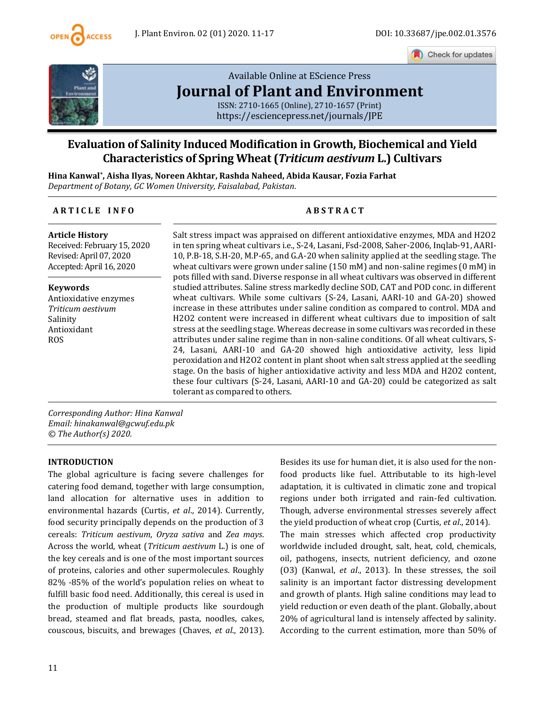

Check for updates



# [Available Online at EScience Press](https://esciencepress.net/journals/JPE) **[Journal of Plant and Environment](https://esciencepress.net/journals/JPE)**

ISSN: 2710-1665 (Online), 2710-1657 (Print) <https://esciencepress.net/journals/JPE>

## **Evaluation of Salinity Induced Modification in Growth, Biochemical and Yield Characteristics of Spring Wheat (***Triticum aestivum* **L.) Cultivars**

**Hina Kanwal\* , Aisha Ilyas, Noreen Akhtar, Rashda Naheed, Abida Kausar, Fozia Farhat** *Department of Botany, GC Women University, Faisalabad, Pakistan.*

#### **A R T I C L E I N F O A B S T R A C T**

**Article History** Received: February 15, 2020 Revised: April 07, 2020 Accepted: April 16, 2020

**Keywords**

Antioxidative enzymes *Triticum aestivum* Salinity Antioxidant ROS

Salt stress impact was appraised on different antioxidative enzymes, MDA and H2O2 in ten spring wheat cultivars i.e., S-24, Lasani, Fsd-2008, Saher-2006, Inqlab-91, AARI-10, P.B-18, S.H-20, M.P-65, and G.A-20 when salinity applied at the seedling stage. The wheat cultivars were grown under saline (150 mM) and non-saline regimes (0 mM) in pots filled with sand. Diverse response in all wheat cultivars was observed in different studied attributes. Saline stress markedly decline SOD, CAT and POD conc. in different wheat cultivars. While some cultivars (S-24, Lasani, AARI-10 and GA-20) showed increase in these attributes under saline condition as compared to control. MDA and H2O2 content were increased in different wheat cultivars due to imposition of salt stress at the seedling stage. Whereas decrease in some cultivars was recorded in these attributes under saline regime than in non-saline conditions. Of all wheat cultivars, S-24, Lasani, AARI-10 and GA-20 showed high antioxidative activity, less lipid peroxidation and H2O2 content in plant shoot when salt stress applied at the seedling stage. On the basis of higher antioxidative activity and less MDA and H2O2 content, these four cultivars (S-24, Lasani, AARI-10 and GA-20) could be categorized as salt tolerant as compared to others.

*Corresponding Author: Hina Kanwal Email: hinakanwal@gcwuf.edu.pk © The Author(s) 2020.*

#### **INTRODUCTION**

The global agriculture is facing severe challenges for catering food demand, together with large consumption, land allocation for alternative uses in addition to environmental hazards (Curtis, *et al*., 2014). Currently, food security principally depends on the production of 3 cereals: *Triticum aestivum*, *Oryza sativa* and *Zea mays*. Across the world, wheat (*Triticum aestivum* L.) is one of the key cereals and is one of the most important sources of proteins, calories and other supermolecules. Roughly 82% -85% of the world's population relies on wheat to fulfill basic food need. Additionally, this cereal is used in the production of multiple products like sourdough bread, steamed and flat breads, pasta, noodles, cakes, couscous, biscuits, and brewages (Chaves, *et al*., 2013). Besides its use for human diet, it is also used for the nonfood products like fuel. Attributable to its high-level adaptation, it is cultivated in climatic zone and tropical regions under both irrigated and rain-fed cultivation. Though, adverse environmental stresses severely affect the yield production of wheat crop (Curtis, *et al*., 2014). The main stresses which affected crop productivity worldwide included drought, salt, heat, cold, chemicals, oil, pathogens, insects, nutrient deficiency, and ozone (O3) (Kanwal, *et al*., 2013). In these stresses, the soil salinity is an important factor distressing development and growth of plants. High saline conditions may lead to yield reduction or even death of the plant. Globally, about 20% of agricultural land is intensely affected by salinity. According to the current estimation, more than 50% of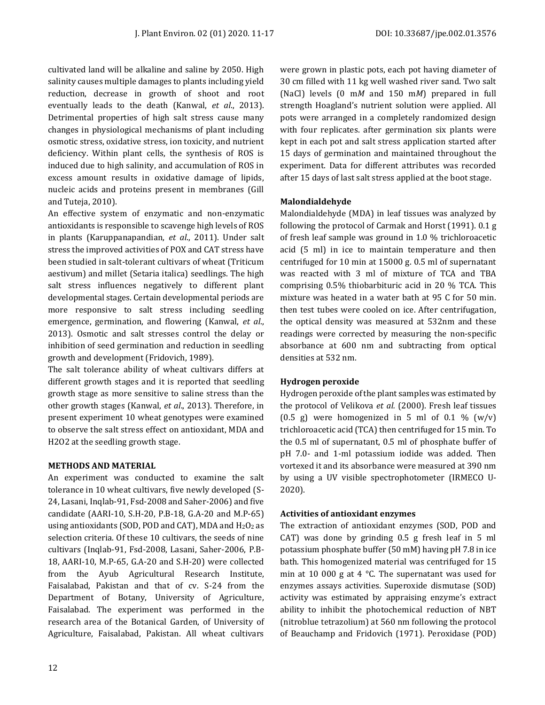cultivated land will be alkaline and saline by 2050. High salinity causes multiple damages to plants including yield reduction, decrease in growth of shoot and root eventually leads to the death (Kanwal, *et al*., 2013). Detrimental properties of high salt stress cause many changes in physiological mechanisms of plant including osmotic stress, oxidative stress, ion toxicity, and nutrient deficiency. Within plant cells, the synthesis of ROS is induced due to high salinity, and accumulation of ROS in excess amount results in oxidative damage of lipids, nucleic acids and proteins present in membranes (Gill and Tuteja, 2010).

An effective system of enzymatic and non-enzymatic antioxidants is responsible to scavenge high levels of ROS in plants (Karuppanapandian, *et al*., 2011). Under salt stress the improved activities of POX and CAT stress have been studied in salt-tolerant cultivars of wheat (Triticum aestivum) and millet (Setaria italica) seedlings. The high salt stress influences negatively to different plant developmental stages. Certain developmental periods are more responsive to salt stress including seedling emergence, germination, and flowering (Kanwal, *et al*., 2013). Osmotic and salt stresses control the delay or inhibition of seed germination and reduction in seedling growth and development (Fridovich, 1989).

The salt tolerance ability of wheat cultivars differs at different growth stages and it is reported that seedling growth stage as more sensitive to saline stress than the other growth stages (Kanwal, *et al*., 2013). Therefore, in present experiment 10 wheat genotypes were examined to observe the salt stress effect on antioxidant, MDA and H2O2 at the seedling growth stage.

#### **METHODS AND MATERIAL**

An experiment was conducted to examine the salt tolerance in 10 wheat cultivars, five newly developed (S-24, Lasani, Inqlab-91, Fsd-2008 and Saher-2006) and five candidate (AARI-10, S.H-20, P.B-18, G.A-20 and M.P-65) using antioxidants (SOD, POD and CAT), MDA and  $H_2O_2$  as selection criteria. Of these 10 cultivars, the seeds of nine cultivars (Inqlab-91, Fsd-2008, Lasani, Saher-2006, P.B-18, AARI-10, M.P-65, G.A-20 and S.H-20) were collected from the Ayub Agricultural Research Institute, Faisalabad, Pakistan and that of cv. S-24 from the Department of Botany, University of Agriculture, Faisalabad. The experiment was performed in the research area of the Botanical Garden, of University of Agriculture, Faisalabad, Pakistan. All wheat cultivars

were grown in plastic pots, each pot having diameter of 30 cm filled with 11 kg well washed river sand. Two salt (NaCl) levels (0 m*M* and 150 m*M*) prepared in full strength Hoagland's nutrient solution were applied. All pots were arranged in a completely randomized design with four replicates. after germination six plants were kept in each pot and salt stress application started after 15 days of germination and maintained throughout the experiment. Data for different attributes was recorded after 15 days of last salt stress applied at the boot stage.

#### **Malondialdehyde**

Malondialdehyde (MDA) in leaf tissues was analyzed by following the protocol of Carmak and Horst (1991). 0.1 g of fresh leaf sample was ground in 1.0 % trichloroacetic acid (5 ml) in ice to maintain temperature and then centrifuged for 10 min at 15000 g. 0.5 ml of supernatant was reacted with 3 ml of mixture of TCA and TBA comprising 0.5% thiobarbituric acid in 20 % TCA. This mixture was heated in a water bath at 95 C for 50 min. then test tubes were cooled on ice. After centrifugation, the optical density was measured at 532nm and these readings were corrected by measuring the non-specific absorbance at 600 nm and subtracting from optical densities at 532 nm.

#### **Hydrogen peroxide**

Hydrogen peroxide of the plant samples was estimated by the protocol of Velikova *et al.* (2000). Fresh leaf tissues  $(0.5 \text{ g})$  were homogenized in 5 ml of 0.1 %  $(w/v)$ trichloroacetic acid (TCA) then centrifuged for 15 min. To the 0.5 ml of supernatant, 0.5 ml of phosphate buffer of pH 7.0- and 1-ml potassium iodide was added. Then vortexed it and its absorbance were measured at 390 nm by using a UV visible spectrophotometer (IRMECO U-2020).

#### **Activities of antioxidant enzymes**

The extraction of antioxidant enzymes (SOD, POD and CAT) was done by grinding 0.5 g fresh leaf in 5 ml potassium phosphate buffer (50 mM) having pH 7.8 in ice bath. This homogenized material was centrifuged for 15 min at 10 000 g at 4 °C. The supernatant was used for enzymes assays activities. Superoxide dismutase (SOD) activity was estimated by appraising enzyme's extract ability to inhibit the photochemical reduction of NBT (nitroblue tetrazolium) at 560 nm following the protocol of Beauchamp and Fridovich (1971). Peroxidase (POD)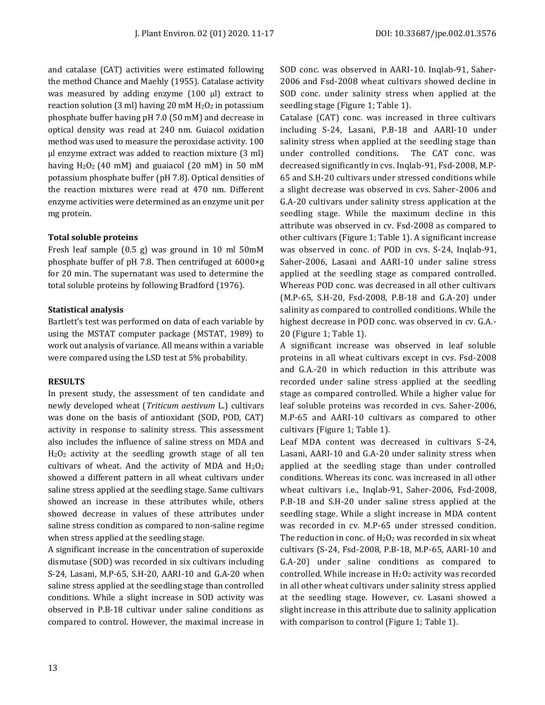and catalase (CAT) activities were estimated following the method Chance and Maehly (1955). Catalase activity was measured by adding enzyme  $(100 \mu l)$  extract to reaction solution (3 ml) having 20 mM  $H_2O_2$  in potassium phosphate buffer having pH 7.0 (50 mM) and decrease in optical density was read at 240 nm. Guiacol oxidation method was used to measure the peroxidase activity. 100 µl enzyme extract was added to reaction mixture (3 ml) having H<sub>2</sub>O<sub>2</sub> (40 mM) and guaiacol (20 mM) in 50 mM potassium phosphate buffer (pH 7.8). Optical densities of the reaction mixtures were read at 470 nm. Different enzyme activities were determined as an enzyme unit per mg protein.

#### **Total soluble proteins**

Fresh leaf sample (0.5 g) was ground in 10 ml 50mM phosphate buffer of pH 7.8. Then centrifuged at 6000×g for 20 min. The supernatant was used to determine the total soluble proteins by following Bradford (1976).

#### **Statistical analysis**

Bartlett's test was performed on data of each variable by using the MSTAT computer package (MSTAT, 1989) to work out analysis of variance. All means within a variable were compared using the LSD test at 5% probability.

#### **RESULTS**

In present study, the assessment of ten candidate and newly developed wheat (*Triticum aestivum* L.) cultivars was done on the basis of antioxidant (SOD, POD, CAT) activity in response to salinity stress. This assessment also includes the influence of saline stress on MDA and H2O<sup>2</sup> activity at the seedling growth stage of all ten cultivars of wheat. And the activity of MDA and  $H_2O_2$ showed a different pattern in all wheat cultivars under saline stress applied at the seedling stage. Same cultivars showed an increase in these attributes while, others showed decrease in values of these attributes under saline stress condition as compared to non-saline regime when stress applied at the seedling stage.

A significant increase in the concentration of superoxide dismutase (SOD) was recorded in six cultivars including S-24, Lasani, M.P-65, S.H-20, AARI-10 and G.A-20 when saline stress applied at the seedling stage than controlled conditions. While a slight increase in SOD activity was observed in P.B-18 cultivar under saline conditions as compared to control. However, the maximal increase in SOD conc. was observed in AARI-10. Inqlab-91, Saher-2006 and Fsd-2008 wheat cultivars showed decline in SOD conc. under salinity stress when applied at the seedling stage (Figure 1; Table 1).

Catalase (CAT) conc. was increased in three cultivars including S-24, Lasani, P.B-18 and AARI-10 under salinity stress when applied at the seedling stage than under controlled conditions. The CAT conc. was decreased significantly in cvs. Inqlab-91, Fsd-2008, M.P-65 and S.H-20 cultivars under stressed conditions while a slight decrease was observed in cvs. Saher-2006 and G.A-20 cultivars under salinity stress application at the seedling stage. While the maximum decline in this attribute was observed in cv. Fsd-2008 as compared to other cultivars (Figure 1; Table 1). A significant increase was observed in conc. of POD in cvs. S-24, Inqlab-91, Saher-2006, Lasani and AARI-10 under saline stress applied at the seedling stage as compared controlled. Whereas POD conc. was decreased in all other cultivars (M.P-65, S.H-20, Fsd-2008, P.B-18 and G.A-20) under salinity as compared to controlled conditions. While the highest decrease in POD conc. was observed in cv. G.A.- 20 (Figure 1; Table 1).

A significant increase was observed in leaf soluble proteins in all wheat cultivars except in cvs. Fsd-2008 and G.A.-20 in which reduction in this attribute was recorded under saline stress applied at the seedling stage as compared controlled. While a higher value for leaf soluble proteins was recorded in cvs. Saher-2006, M.P-65 and AARI-10 cultivars as compared to other cultivars (Figure 1; Table 1).

Leaf MDA content was decreased in cultivars S-24, Lasani, AARI-10 and G.A-20 under salinity stress when applied at the seedling stage than under controlled conditions. Whereas its conc. was increased in all other wheat cultivars i.e., Inqlab-91, Saher-2006, Fsd-2008, P.B-18 and S.H-20 under saline stress applied at the seedling stage. While a slight increase in MDA content was recorded in cv. M.P-65 under stressed condition. The reduction in conc. of  $H_2O_2$  was recorded in six wheat cultivars (S-24, Fsd-2008, P.B-18, M.P-65, AARI-10 and G.A-20) under saline conditions as compared to controlled. While increase in H2O<sup>2</sup> activity was recorded in all other wheat cultivars under salinity stress applied at the seedling stage. However, cv. Lasani showed a slight increase in this attribute due to salinity application with comparison to control (Figure 1; Table 1).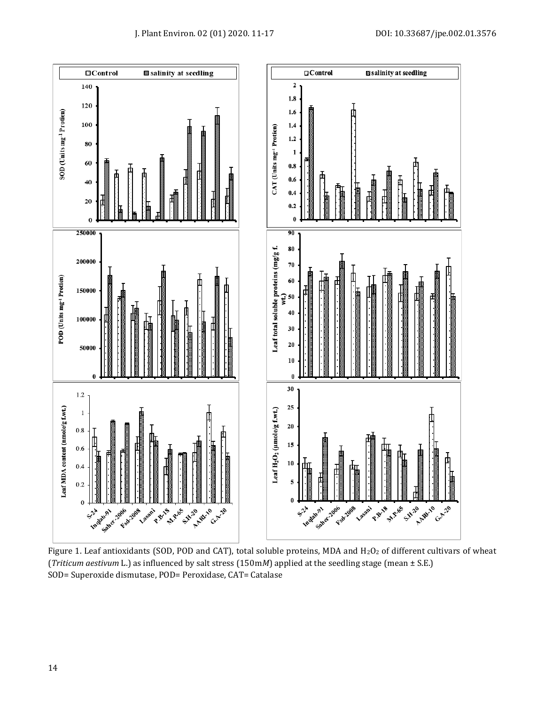

Figure 1. Leaf antioxidants (SOD, POD and CAT), total soluble proteins, MDA and  $H_2O_2$  of different cultivars of wheat (*Triticum aestivum* L.) as influenced by salt stress (150m*M*) applied at the seedling stage (mean ± S.E.) SOD= Superoxide dismutase, POD= Peroxidase, CAT= Catalase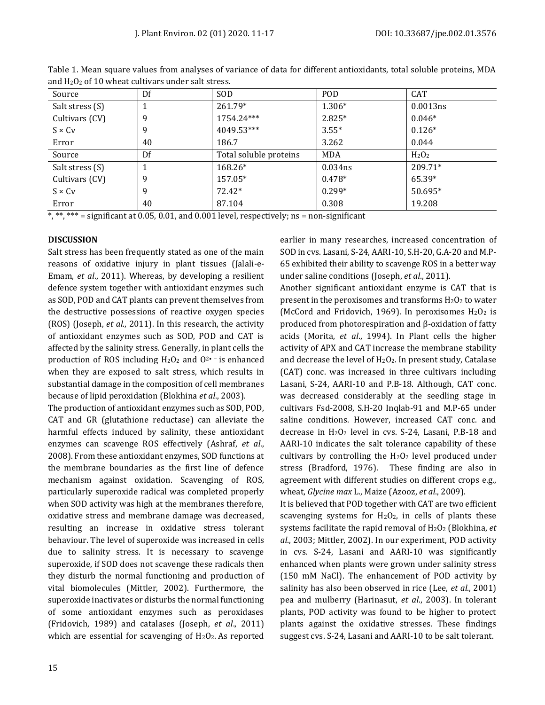| Source          | Df | <b>SOD</b>             | <b>POD</b> | <b>CAT</b>                    |
|-----------------|----|------------------------|------------|-------------------------------|
| Salt stress (S) |    | $261.79*$              | $1.306*$   | 0.0013ns                      |
| Cultivars (CV)  | 9  | 1754.24***             | $2.825*$   | $0.046*$                      |
| $S \times C_V$  | 9  | 4049.53***             | $3.55*$    | $0.126*$                      |
| Error           | 40 | 186.7                  | 3.262      | 0.044                         |
| Source          | Df | Total soluble proteins | <b>MDA</b> | H <sub>2</sub> O <sub>2</sub> |
| Salt stress (S) |    | 168.26*                | $0.034$ ns | $209.71*$                     |
| Cultivars (CV)  | 9  | 157.05*                | $0.478*$   | 65.39*                        |
| $S \times C_V$  | 9  | 72.42*                 | $0.299*$   | 50.695*                       |
| Error           | 40 | 87.104                 | 0.308      | 19.208                        |

Table 1. Mean square values from analyses of variance of data for different antioxidants, total soluble proteins, MDA and  $H_2O_2$  of 10 wheat cultivars under salt stress.

\*, \*\*, \*\*\* = significant at 0.05, 0.01, and 0.001 level, respectively; ns = non-significant

#### **DISCUSSION**

Salt stress has been frequently stated as one of the main reasons of oxidative injury in plant tissues (Jalali-e-Emam, *et al*., 2011). Whereas, by developing a resilient defence system together with antioxidant enzymes such as SOD, POD and CAT plants can prevent themselves from the destructive possessions of reactive oxygen species (ROS) (Joseph, *et al*., 2011). In this research, the activity of antioxidant enzymes such as SOD, POD and CAT is affected by the salinity stress. Generally, in plant cells the production of ROS including H2O<sup>2</sup> and O2• − is enhanced when they are exposed to salt stress, which results in substantial damage in the composition of cell membranes because of lipid peroxidation (Blokhina *et al*., 2003).

The production of antioxidant enzymes such as SOD, POD, CAT and GR (glutathione reductase) can alleviate the harmful effects induced by salinity, these antioxidant enzymes can scavenge ROS effectively (Ashraf, *et al*., 2008). From these antioxidant enzymes, SOD functions at the membrane boundaries as the first line of defence mechanism against oxidation. Scavenging of ROS, particularly superoxide radical was completed properly when SOD activity was high at the membranes therefore, oxidative stress and membrane damage was decreased, resulting an increase in oxidative stress tolerant behaviour. The level of superoxide was increased in cells due to salinity stress. It is necessary to scavenge superoxide, if SOD does not scavenge these radicals then they disturb the normal functioning and production of vital biomolecules (Mittler, 2002). Furthermore, the superoxide inactivates or disturbs the normal functioning of some antioxidant enzymes such as peroxidases (Fridovich, 1989) and catalases (Joseph, *et al*., 2011) which are essential for scavenging of  $H_2O_2$ . As reported earlier in many researches, increased concentration of SOD in cvs. Lasani, S-24, AARI-10, S.H-20, G.A-20 and M.P-65 exhibited their ability to scavenge ROS in a better way under saline conditions (Joseph, *et al*., 2011).

Another significant antioxidant enzyme is CAT that is present in the peroxisomes and transforms  $H_2O_2$  to water (McCord and Fridovich, 1969). In peroxisomes  $H_2O_2$  is produced from photorespiration and β-oxidation of fatty acids (Morita, *et al*., 1994). In Plant cells the higher activity of APX and CAT increase the membrane stability and decrease the level of  $H_2O_2$ . In present study, Catalase (CAT) conc. was increased in three cultivars including Lasani, S-24, AARI-10 and P.B-18. Although, CAT conc. was decreased considerably at the seedling stage in cultivars Fsd-2008, S.H-20 Inqlab-91 and M.P-65 under saline conditions. However, increased CAT conc. and decrease in H2O<sup>2</sup> level in cvs. S-24, Lasani, P.B-18 and AARI-10 indicates the salt tolerance capability of these cultivars by controlling the  $H_2O_2$  level produced under stress (Bradford, 1976). These finding are also in agreement with different studies on different crops e.g., wheat, *Glycine max* L., Maize (Azooz, *et al*., 2009).

It is believed that POD together with CAT are two efficient scavenging systems for  $H_2O_2$ , in cells of plants these systems facilitate the rapid removal of H2O<sup>2</sup> (Blokhina, *et al*., 2003; Mittler, 2002). In our experiment, POD activity in cvs. S-24, Lasani and AARI-10 was significantly enhanced when plants were grown under salinity stress (150 mM NaCl). The enhancement of POD activity by salinity has also been observed in rice (Lee, *et al*., 2001) pea and mulberry (Harinasut, *et al*., 2003). In tolerant plants, POD activity was found to be higher to protect plants against the oxidative stresses. These findings suggest cvs. S-24, Lasani and AARI-10 to be salt tolerant.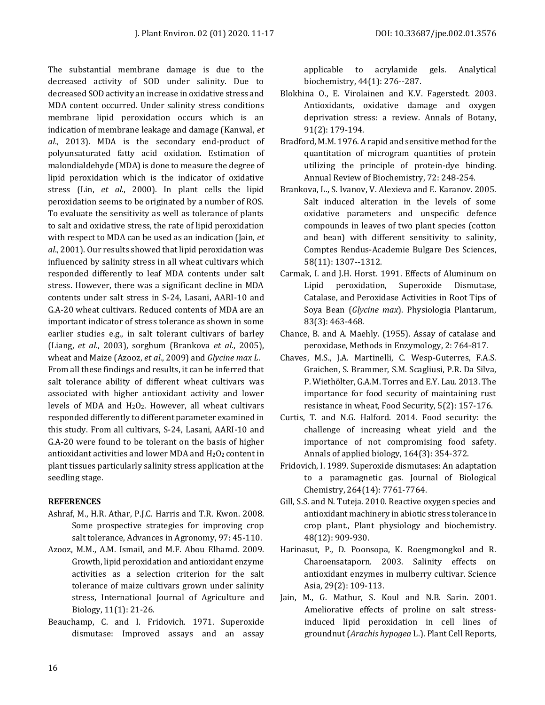The substantial membrane damage is due to the decreased activity of SOD under salinity. Due to decreased SOD activity an increase in oxidative stress and MDA content occurred. Under salinity stress conditions membrane lipid peroxidation occurs which is an indication of membrane leakage and damage (Kanwal, *et al*., 2013). MDA is the secondary end-product of polyunsaturated fatty acid oxidation. Estimation of malondialdehyde (MDA) is done to measure the degree of lipid peroxidation which is the indicator of oxidative stress (Lin, *et al*., 2000). In plant cells the lipid peroxidation seems to be originated by a number of ROS. To evaluate the sensitivity as well as tolerance of plants to salt and oxidative stress, the rate of lipid peroxidation with respect to MDA can be used as an indication (Jain, *et al*., 2001). Our results showed that lipid peroxidation was influenced by salinity stress in all wheat cultivars which responded differently to leaf MDA contents under salt stress. However, there was a significant decline in MDA contents under salt stress in S-24, Lasani, AARI-10 and G.A-20 wheat cultivars. Reduced contents of MDA are an important indicator of stress tolerance as shown in some earlier studies e.g., in salt tolerant cultivars of barley (Liang, *et al*., 2003), sorghum (Brankova *et al*., 2005), wheat and Maize (Azooz, *et al*., 2009) and *Glycine max L*. From all these findings and results, it can be inferred that salt tolerance ability of different wheat cultivars was associated with higher antioxidant activity and lower levels of MDA and H2O2. However, all wheat cultivars responded differently to different parameter examined in this study. From all cultivars, S-24, Lasani, AARI-10 and G.A-20 were found to be tolerant on the basis of higher antioxidant activities and lower MDA and H2O2 content in plant tissues particularly salinity stress application at the seedling stage.

#### **REFERENCES**

- Ashraf, M., H.R. Athar, P.J.C. Harris and T.R. Kwon. 2008. Some prospective strategies for improving crop salt tolerance, Advances in Agronomy, 97: 45-110.
- Azooz, M.M., A.M. Ismail, and M.F. Abou Elhamd. 2009. Growth, lipid peroxidation and antioxidant enzyme activities as a selection criterion for the salt tolerance of maize cultivars grown under salinity stress, International Journal of Agriculture and Biology, 11(1): 21-26.
- Beauchamp, C. and I. Fridovich. 1971. Superoxide dismutase: Improved assays and an assay

applicable to acrylamide gels. Analytical biochemistry, 44(1): 276--287.

- Blokhina O., E. Virolainen and K.V. Fagerstedt. 2003. Antioxidants, oxidative damage and oxygen deprivation stress: a review. Annals of Botany, 91(2): 179-194.
- Bradford, M.M. 1976. A rapid and sensitive method for the quantitation of microgram quantities of protein utilizing the principle of protein-dye binding. Annual Review of Biochemistry, 72: 248-254.
- Brankova, L., S. Ivanov, V. Alexieva and E. Karanov. 2005. Salt induced alteration in the levels of some oxidative parameters and unspecific defence compounds in leaves of two plant species (cotton and bean) with different sensitivity to salinity, Comptes Rendus-Academie Bulgare Des Sciences, 58(11): 1307--1312.
- Carmak, I. and J.H. Horst. 1991. Effects of Aluminum on Lipid peroxidation, Superoxide Dismutase, Catalase, and Peroxidase Activities in Root Tips of Soya Bean (*Glycine max*). Physiologia Plantarum, 83(3): 463-468.
- Chance, B. and A. Maehly. (1955). Assay of catalase and peroxidase, Methods in Enzymology, 2: 764-817.
- Chaves, M.S., J.A. Martinelli, C. Wesp-Guterres, F.A.S. Graichen, S. Brammer, S.M. Scagliusi, P.R. Da Silva, P. Wiethölter, G.A.M. Torres and E.Y. Lau. 2013. The importance for food security of maintaining rust resistance in wheat, Food Security, 5(2): 157-176.
- Curtis, T. and N.G. Halford. 2014. Food security: the challenge of increasing wheat yield and the importance of not compromising food safety. Annals of applied biology, 164(3): 354-372.
- Fridovich, I. 1989. Superoxide dismutases: An adaptation to a paramagnetic gas. Journal of Biological Chemistry, 264(14): 7761-7764.
- Gill, S.S. and N. Tuteja. 2010. Reactive oxygen species and antioxidant machinery in abiotic stress tolerance in crop plant., Plant physiology and biochemistry. 48(12): 909-930.
- Harinasut, P., D. Poonsopa, K. Roengmongkol and R. Charoensataporn. 2003. Salinity effects on antioxidant enzymes in mulberry cultivar. Science Asia, 29(2): 109-113.
- Jain, M., G. Mathur, S. Koul and N.B. Sarin. 2001. Ameliorative effects of proline on salt stressinduced lipid peroxidation in cell lines of groundnut (*Arachis hypogea* L.). Plant Cell Reports,